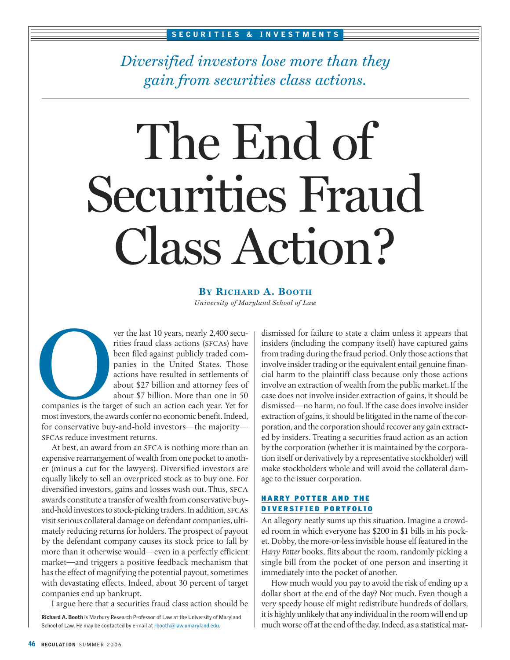*Diversified investors lose more than they gain from securities class actions.*

# The End of Securities Fraud Class Action?

**BY RICHARD A. BOOTH** *University of Maryland School of Law*

ver the last 10 years, nearly 2,400 securities fraud class actions (SFCAs) have been filed against publicly traded companies in the United States. Those actions have resulted in settlements of about \$27 billion and attorney fees of about \$7 billion. More than one in 50

companies is the target of such an action each year. Yet for most investors, the awards confer no economic benefit. Indeed, for conservative buy-and-hold investors—the majority sfcas reduce investment returns. companies is the target

At best, an award from an SFCA is nothing more than an expensive rearrangement of wealth from one pocket to another (minus a cut for the lawyers). Diversified investors are equally likely to sell an overpriced stock as to buy one. For diversified investors, gains and losses wash out. Thus, SFCA awards constitute a transfer of wealth from conservative buyand-hold investors to stock-picking traders. In addition, SFCAs visit serious collateral damage on defendant companies, ultimately reducing returns for holders. The prospect of payout by the defendant company causes its stock price to fall by more than it otherwise would—even in a perfectly efficient market—and triggers a positive feedback mechanism that has the effect of magnifying the potential payout, sometimes with devastating effects. Indeed, about 30 percent of target companies end up bankrupt.

I argue here that a securities fraud class action should be

Richard A. Booth is Marbury Research Professor of Law at the University of Maryland School of Law. He may be contacted by e-mail at rbooth@law.umaryland.edu.

dismissed for failure to state a claim unless it appears that insiders (including the company itself) have captured gains from trading during the fraud period. Only those actions that involve insider trading or the equivalent entail genuine financial harm to the plaintiff class because only those actions involve an extraction of wealth from the public market. If the case does not involve insider extraction of gains, it should be dismissed—no harm, no foul. If the case does involve insider extraction of gains, it should be litigated in the name of the corporation, and the corporation should recover any gain extracted by insiders. Treating a securities fraud action as an action by the corporation (whether it is maintained by the corporation itself or derivatively by a representative stockholder) will make stockholders whole and will avoid the collateral damage to the issuer corporation.

# HARRY POTTER AND THE DIVERSIFIED PORTFOLIO

An allegory neatly sums up this situation. Imagine a crowded room in which everyone has \$200 in \$1 bills in his pocket. Dobby, the more-or-less invisible house elf featured in the *Harry Potter* books, flits about the room, randomly picking a single bill from the pocket of one person and inserting it immediately into the pocket of another.

How much would you pay to avoid the risk of ending up a dollar short at the end of the day? Not much. Even though a very speedy house elf might redistribute hundreds of dollars, it is highly unlikely that any individual in the room will end up much worse off at the end of the day. Indeed, as a statistical mat-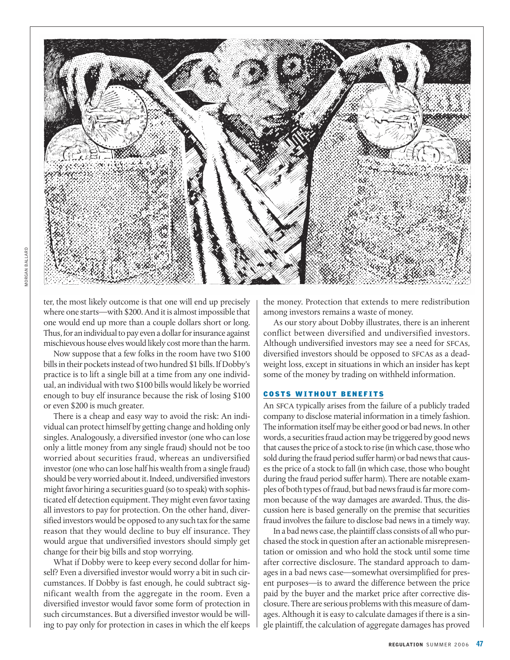

ter, the most likely outcome is that one will end up precisely where one starts—with \$200. And it is almost impossible that one would end up more than a couple dollars short or long. Thus, for an individual to pay even a dollar for insurance against mischievous house elves would likely cost more than the harm.

Now suppose that a few folks in the room have two \$100 bills in their pockets instead of two hundred \$1 bills. If Dobby's practice is to lift a single bill at a time from any one individual, an individual with two \$100 bills would likely be worried enough to buy elf insurance because the risk of losing \$100 or even \$200 is much greater.

There is a cheap and easy way to avoid the risk: An individual can protect himself by getting change and holding only singles. Analogously, a diversified investor (one who can lose only a little money from any single fraud) should not be too worried about securities fraud, whereas an undiversified investor (one who can lose half his wealth from a single fraud) should be very worried about it. Indeed, undiversified investors might favor hiring a securities guard (so to speak) with sophisticated elf detection equipment. They might even favor taxing all investors to pay for protection. On the other hand, diversified investors would be opposed to any such tax for the same reason that they would decline to buy elf insurance. They would argue that undiversified investors should simply get change for their big bills and stop worrying.

What if Dobby were to keep every second dollar for himself? Even a diversified investor would worry a bit in such circumstances. If Dobby is fast enough, he could subtract significant wealth from the aggregate in the room. Even a diversified investor would favor some form of protection in such circumstances. But a diversified investor would be willing to pay only for protection in cases in which the elf keeps the money. Protection that extends to mere redistribution among investors remains a waste of money.

As our story about Dobby illustrates, there is an inherent conflict between diversified and undiversified investors. Although undiversified investors may see a need for SFCAs, diversified investors should be opposed to SFCAs as a deadweight loss, except in situations in which an insider has kept some of the money by trading on withheld information.

#### COSTS WITHOUT BENEFITS

An SFCA typically arises from the failure of a publicly traded company to disclose material information in a timely fashion. The information itself may be either good or bad news. In other words, a securities fraud action may be triggered by good news that causes the price of a stock to rise (in which case, those who sold during the fraud period suffer harm) or bad news that causes the price of a stock to fall (in which case, those who bought during the fraud period suffer harm). There are notable examples of both types of fraud, but bad news fraud is far more common because of the way damages are awarded. Thus, the discussion here is based generally on the premise that securities fraud involves the failure to disclose bad news in a timely way.

In a bad news case, the plaintiff class consists of all who purchased the stock in question after an actionable misrepresentation or omission and who hold the stock until some time after corrective disclosure. The standard approach to damages in a bad news case—somewhat oversimplified for present purposes—is to award the difference between the price paid by the buyer and the market price after corrective disclosure. There are serious problems with this measure of damages. Although it is easy to calculate damages if there is a single plaintiff, the calculation of aggregate damages has proved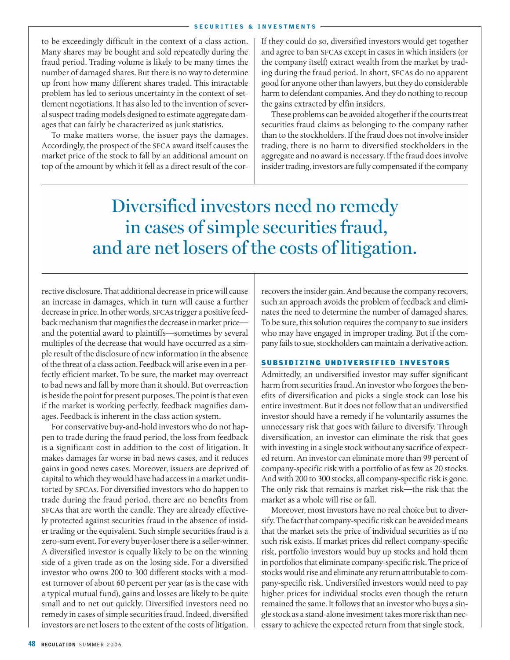to be exceedingly difficult in the context of a class action. Many shares may be bought and sold repeatedly during the fraud period. Trading volume is likely to be many times the number of damaged shares. But there is no way to determine up front how many different shares traded. This intractable problem has led to serious uncertainty in the context of settlement negotiations. It has also led to the invention of several suspect trading models designed to estimate aggregate damages that can fairly be characterized as junk statistics.

To make matters worse, the issuer pays the damages. Accordingly, the prospect of the sfca award itself causes the market price of the stock to fall by an additional amount on top of the amount by which it fell as a direct result of the cor-

If they could do so, diversified investors would get together and agree to ban sfcas except in cases in which insiders (or the company itself) extract wealth from the market by trading during the fraud period. In short, sfcas do no apparent good for anyone other than lawyers, but they do considerable harm to defendant companies. And they do nothing to recoup the gains extracted by elfin insiders.

These problems can be avoided altogether if the courts treat securities fraud claims as belonging to the company rather than to the stockholders. If the fraud does not involve insider trading, there is no harm to diversified stockholders in the aggregate and no award is necessary. If the fraud does involve insider trading, investors are fully compensated if the company

Diversified investors need no remedy in cases of simple securities fraud, and are net losers of the costs of litigation.

rective disclosure. That additional decrease in price will cause an increase in damages, which in turn will cause a further decrease in price. In other words, SFCAs trigger a positive feedback mechanism that magnifies the decrease in market price and the potential award to plaintiffs—sometimes by several multiples of the decrease that would have occurred as a simple result of the disclosure of new information in the absence of the threat of a class action. Feedback will arise even in a perfectly efficient market. To be sure, the market may overreact to bad news and fall by more than it should. But overreaction is beside the point for present purposes. The point is that even if the market is working perfectly, feedback magnifies damages. Feedback is inherent in the class action system.

For conservative buy-and-hold investors who do not happen to trade during the fraud period, the loss from feedback is a significant cost in addition to the cost of litigation. It makes damages far worse in bad news cases, and it reduces gains in good news cases. Moreover, issuers are deprived of capital to which they would have had access in a market undistorted by sfcas. For diversified investors who do happen to trade during the fraud period, there are no benefits from sfcas that are worth the candle. They are already effectively protected against securities fraud in the absence of insider trading or the equivalent. Such simple securities fraud is a zero-sum event. For every buyer-loser there is a seller-winner. A diversified investor is equally likely to be on the winning side of a given trade as on the losing side. For a diversified investor who owns 200 to 300 different stocks with a modest turnover of about 60 percent per year (as is the case with a typical mutual fund), gains and losses are likely to be quite small and to net out quickly. Diversified investors need no remedy in cases of simple securities fraud. Indeed, diversified investors are net losers to the extent of the costs of litigation. recovers the insider gain. And because the company recovers, such an approach avoids the problem of feedback and eliminates the need to determine the number of damaged shares. To be sure, this solution requires the company to sue insiders who may have engaged in improper trading. But if the company fails to sue, stockholders can maintain a derivative action.

## SUBSIDIZING UNDIVERSIFIED INVESTORS

Admittedly, an undiversified investor may suffer significant harm from securities fraud. An investor who forgoes the benefits of diversification and picks a single stock can lose his entire investment. But it does not follow that an undiversified investor should have a remedy if he voluntarily assumes the unnecessary risk that goes with failure to diversify. Through diversification, an investor can eliminate the risk that goes with investing in a single stock without any sacrifice of expected return. An investor can eliminate more than 99 percent of company-specific risk with a portfolio of as few as 20 stocks. And with 200 to 300 stocks, all company-specific risk is gone. The only risk that remains is market risk—the risk that the market as a whole will rise or fall.

Moreover, most investors have no real choice but to diversify. The fact that company-specific risk can be avoided means that the market sets the price of individual securities as if no such risk exists. If market prices did reflect company-specific risk, portfolio investors would buy up stocks and hold them in portfolios that eliminate company-specific risk. The price of stocks would rise and eliminate any return attributable to company-specific risk. Undiversified investors would need to pay higher prices for individual stocks even though the return remained the same. It follows that an investor who buys a single stock as a stand-alone investment takes more risk than necessary to achieve the expected return from that single stock.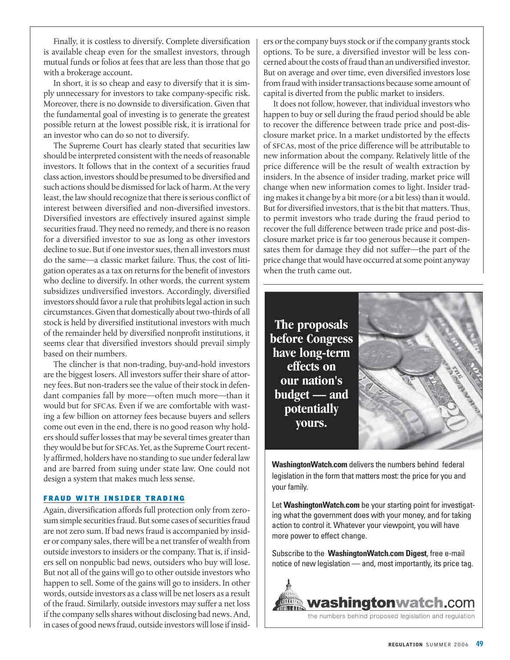Finally, it is costless to diversify. Complete diversification is available cheap even for the smallest investors, through mutual funds or folios at fees that are less than those that go with a brokerage account.

In short, it is so cheap and easy to diversify that it is simply unnecessary for investors to take company-specific risk. Moreover, there is no downside to diversification. Given that the fundamental goal of investing is to generate the greatest possible return at the lowest possible risk, it is irrational for an investor who can do so not to diversify.

The Supreme Court has clearly stated that securities law should be interpreted consistent with the needs of reasonable investors. It follows that in the context of a securities fraud class action, investors should be presumed to be diversified and such actions should be dismissed for lack of harm. At the very least, the law should recognize that there is serious conflict of interest between diversified and non-diversified investors. Diversified investors are effectively insured against simple securities fraud. They need no remedy, and there is no reason for a diversified investor to sue as long as other investors decline to sue. But if one investor sues, then all investors must do the same—a classic market failure. Thus, the cost of litigation operates as a tax on returns for the benefit of investors who decline to diversify. In other words, the current system subsidizes undiversified investors. Accordingly, diversified investors should favor a rule that prohibits legal action in such circumstances. Given that domestically about two-thirds of all stock is held by diversified institutional investors with much of the remainder held by diversified nonprofit institutions, it seems clear that diversified investors should prevail simply based on their numbers.

The clincher is that non-trading, buy-and-hold investors are the biggest losers. All investors suffer their share of attorney fees. But non-traders see the value of their stock in defendant companies fall by more—often much more—than it would but for SFCAs. Even if we are comfortable with wasting a few billion on attorney fees because buyers and sellers come out even in the end, there is no good reason why holders should suffer losses that may be several times greater than they would be but for sfcas. Yet, as the Supreme Court recently affirmed, holders have no standing to sue under federal law and are barred from suing under state law. One could not design a system that makes much less sense.

## FRAUD WITH INSIDER TRADING

Again, diversification affords full protection only from zerosum simple securities fraud. But some cases of securities fraud are not zero sum. If bad news fraud is accompanied by insider or company sales, there will be a net transfer of wealth from outside investors to insiders or the company. That is, if insiders sell on nonpublic bad news, outsiders who buy will lose. But not all of the gains will go to other outside investors who happen to sell. Some of the gains will go to insiders. In other words, outside investors as a class will be net losers as a result of the fraud. Similarly, outside investors may suffer a net loss if the company sells shares without disclosing bad news. And, in cases of good news fraud, outside investors will lose if insiders or the company buys stock or if the company grants stock options. To be sure, a diversified investor will be less concerned about the costs of fraud than an undiversified investor. But on average and over time, even diversified investors lose from fraud with insider transactions because some amount of capital is diverted from the public market to insiders.

It does not follow, however, that individual investors who happen to buy or sell during the fraud period should be able to recover the difference between trade price and post-disclosure market price. In a market undistorted by the effects of sfcas, most of the price difference will be attributable to new information about the company. Relatively little of the price difference will be the result of wealth extraction by insiders. In the absence of insider trading, market price will change when new information comes to light. Insider trading makes it change by a bit more (or a bit less) than it would. But for diversified investors, that is the bit that matters. Thus, to permit investors who trade during the fraud period to recover the full difference between trade price and post-disclosure market price is far too generous because it compensates them for damage they did not suffer—the part of the price change that would have occurred at some point anyway when the truth came out.

**The proposals before Congress have long-term effects on our nation's budget — and potentially yours.** 



**WashingtonWatch.com** delivers the numbers behind federal legislation in the form that matters most: the price for you and your family.

Let **WashingtonWatch.com** be your starting point for investigating what the government does with your money, and for taking action to control it. Whatever your viewpoint, you will have more power to effect change.

Subscribe to the **WashingtonWatch.com Digest**, free e-mail notice of new legislation — and, most importantly, its price tag.

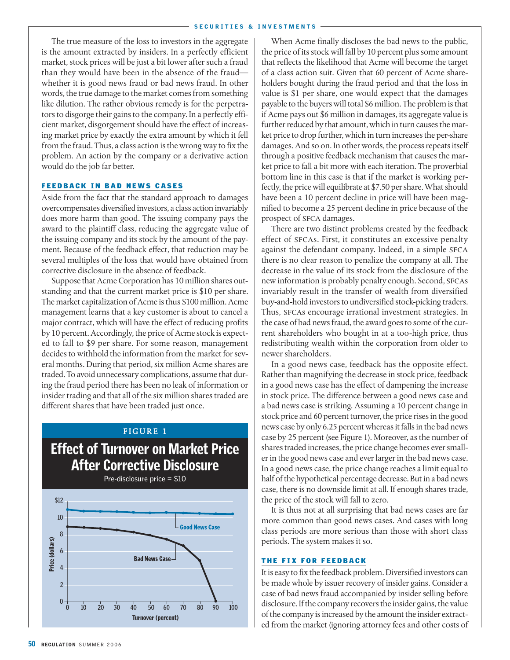The true measure of the loss to investors in the aggregate is the amount extracted by insiders. In a perfectly efficient market, stock prices will be just a bit lower after such a fraud than they would have been in the absence of the fraud whether it is good news fraud or bad news fraud. In other words, the true damage to the market comes from something like dilution. The rather obvious remedy is for the perpetrators to disgorge their gains to the company. In a perfectly efficient market, disgorgement should have the effect of increasing market price by exactly the extra amount by which it fell from the fraud. Thus, a class action is the wrong way to fix the problem. An action by the company or a derivative action would do the job far better.

#### FEEDBACK IN BAD NEWS CASES

Aside from the fact that the standard approach to damages overcompensates diversified investors, a class action invariably does more harm than good. The issuing company pays the award to the plaintiff class, reducing the aggregate value of the issuing company and its stock by the amount of the payment. Because of the feedback effect, that reduction may be several multiples of the loss that would have obtained from corrective disclosure in the absence of feedback.

Suppose that Acme Corporation has 10 million shares outstanding and that the current market price is \$10 per share. The market capitalization of Acme is thus \$100 million. Acme management learns that a key customer is about to cancel a major contract, which will have the effect of reducing profits by 10 percent. Accordingly, the price of Acme stock is expected to fall to \$9 per share. For some reason, management decides to withhold the information from the market for several months. During that period, six million Acme shares are traded. To avoid unnecessary complications, assume that during the fraud period there has been no leak of information or insider trading and that all of the six million shares traded are different shares that have been traded just once.

# FIGURE 1

# Effect of Turnover on Market Price After Corrective Disclosure



When Acme finally discloses the bad news to the public, the price of its stock will fall by 10 percent plus some amount that reflects the likelihood that Acme will become the target of a class action suit. Given that 60 percent of Acme shareholders bought during the fraud period and that the loss in value is \$1 per share, one would expect that the damages payable to the buyers will total \$6 million. The problem is that if Acme pays out \$6 million in damages, its aggregate value is further reduced by that amount, which in turn causes the market price to drop further, which in turn increases the per-share damages. And so on. In other words, the process repeats itself through a positive feedback mechanism that causes the market price to fall a bit more with each iteration. The proverbial bottom line in this case is that if the market is working perfectly, the price will equilibrate at \$7.50 per share. What should have been a 10 percent decline in price will have been magnified to become a 25 percent decline in price because of the prospect of sfca damages.

There are two distinct problems created by the feedback effect of sfcas. First, it constitutes an excessive penalty against the defendant company. Indeed, in a simple SFCA there is no clear reason to penalize the company at all. The decrease in the value of its stock from the disclosure of the new information is probably penalty enough. Second, SFCAs invariably result in the transfer of wealth from diversified buy-and-hold investors to undiversified stock-picking traders. Thus, SFCAs encourage irrational investment strategies. In the case of bad news fraud, the award goes to some of the current shareholders who bought in at a too-high price, thus redistributing wealth within the corporation from older to newer shareholders.

In a good news case, feedback has the opposite effect. Rather than magnifying the decrease in stock price, feedback in a good news case has the effect of dampening the increase in stock price. The difference between a good news case and a bad news case is striking. Assuming a 10 percent change in stock price and 60 percent turnover, the price rises in the good news case by only 6.25 percent whereas it falls in the bad news case by 25 percent (see Figure 1). Moreover, as the number of shares traded increases, the price change becomes ever smaller in the good news case and ever larger in the bad news case. In a good news case, the price change reaches a limit equal to half of the hypothetical percentage decrease. But in a bad news case, there is no downside limit at all. If enough shares trade, the price of the stock will fall to zero.

It is thus not at all surprising that bad news cases are far more common than good news cases. And cases with long class periods are more serious than those with short class periods. The system makes it so.

## THE FIX FOR FEEDBACK

It is easy to fix the feedback problem. Diversified investors can be made whole by issuer recovery of insider gains. Consider a case of bad news fraud accompanied by insider selling before disclosure. If the company recovers the insider gains, the value of the company is increased by the amount the insider extracted from the market (ignoring attorney fees and other costs of